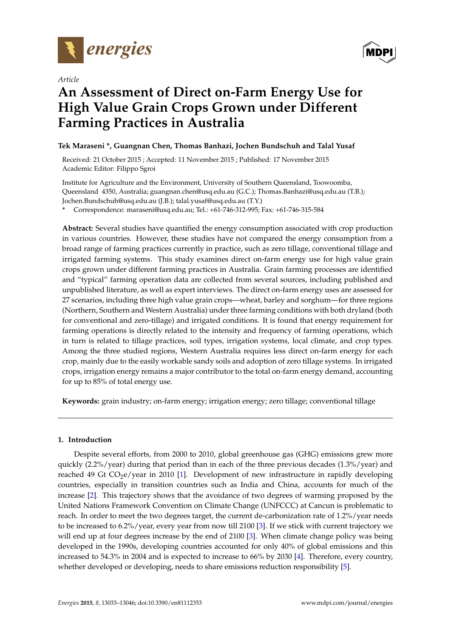

*Article*

# **An Assessment of Direct on-Farm Energy Use for High Value Grain Crops Grown under Different Farming Practices in Australia**

### **Tek Maraseni \*, Guangnan Chen, Thomas Banhazi, Jochen Bundschuh and Talal Yusaf**

Received: 21 October 2015 ; Accepted: 11 November 2015 ; Published: 17 November 2015 Academic Editor: Filippo Sgroi

Institute for Agriculture and the Environment, University of Southern Queensland, Toowoomba, Queensland 4350, Australia; guangnan.chen@usq.edu.au (G.C.); Thomas.Banhazi@usq.edu.au (T.B.); Jochen.Bundschuh@usq.edu.au (J.B.); talal.yusaf@usq.edu.au (T.Y.)

**\*** Correspondence: maraseni@usq.edu.au; Tel.: +61-746-312-995; Fax: +61-746-315-584

**Abstract:** Several studies have quantified the energy consumption associated with crop production in various countries. However, these studies have not compared the energy consumption from a broad range of farming practices currently in practice, such as zero tillage, conventional tillage and irrigated farming systems. This study examines direct on-farm energy use for high value grain crops grown under different farming practices in Australia. Grain farming processes are identified and "typical" farming operation data are collected from several sources, including published and unpublished literature, as well as expert interviews. The direct on-farm energy uses are assessed for 27 scenarios, including three high value grain crops—wheat, barley and sorghum—for three regions (Northern, Southern and Western Australia) under three farming conditions with both dryland (both for conventional and zero-tillage) and irrigated conditions. It is found that energy requirement for farming operations is directly related to the intensity and frequency of farming operations, which in turn is related to tillage practices, soil types, irrigation systems, local climate, and crop types. Among the three studied regions, Western Australia requires less direct on-farm energy for each crop, mainly due to the easily workable sandy soils and adoption of zero tillage systems. In irrigated crops, irrigation energy remains a major contributor to the total on-farm energy demand, accounting for up to 85% of total energy use.

**Keywords:** grain industry; on-farm energy; irrigation energy; zero tillage; conventional tillage

#### **1. Introduction**

Despite several efforts, from 2000 to 2010, global greenhouse gas (GHG) emissions grew more quickly (2.2%/year) during that period than in each of the three previous decades (1.3%/year) and reached 49 Gt  $CO<sub>2</sub>e/year$  in 2010 [\[1\]](#page-11-0). Development of new infrastructure in rapidly developing countries, especially in transition countries such as India and China, accounts for much of the increase [\[2\]](#page-11-1). This trajectory shows that the avoidance of two degrees of warming proposed by the United Nations Framework Convention on Climate Change (UNFCCC) at Cancun is problematic to reach. In order to meet the two degrees target, the current de-carbonization rate of 1.2%/year needs to be increased to 6.2%/year, every year from now till 2100 [\[3\]](#page-11-2). If we stick with current trajectory we will end up at four degrees increase by the end of 2100 [\[3\]](#page-11-2). When climate change policy was being developed in the 1990s, developing countries accounted for only 40% of global emissions and this increased to 54.3% in 2004 and is expected to increase to 66% by 2030 [\[4\]](#page-11-3). Therefore, every country, whether developed or developing, needs to share emissions reduction responsibility [\[5\]](#page-11-4).

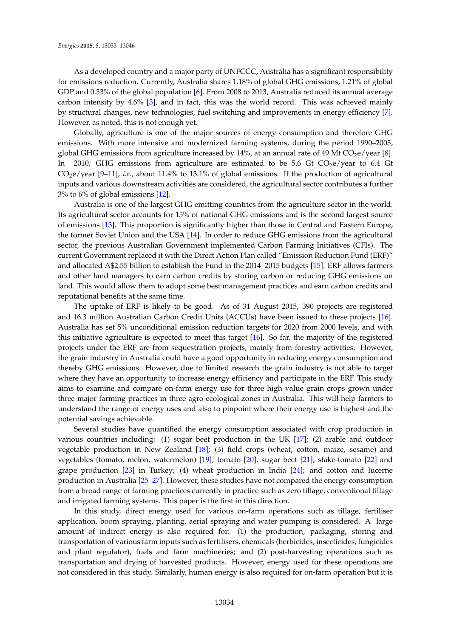As a developed country and a major party of UNFCCC, Australia has a significant responsibility for emissions reduction. Currently, Australia shares 1.18% of global GHG emissions, 1.21% of global GDP and 0.33% of the global population [\[6\]](#page-11-5). From 2008 to 2013, Australia reduced its annual average carbon intensity by 4.6% [\[3\]](#page-11-2), and in fact, this was the world record. This was achieved mainly by structural changes, new technologies, fuel switching and improvements in energy efficiency [\[7\]](#page-11-6). However, as noted, this is not enough yet.

Globally, agriculture is one of the major sources of energy consumption and therefore GHG emissions. With more intensive and modernized farming systems, during the period 1990–2005, global GHG emissions from agriculture increased by 14%, at an annual rate of 49 Mt  $CO<sub>2</sub>e/year$  [\[8\]](#page-11-7). In 2010, GHG emissions from agriculture are estimated to be 5.6 Gt  $CO<sub>2</sub>e/year$  to 6.4 Gt CO2e/year [\[9–](#page-11-8)[11\]](#page-11-9), *i.e.*, about 11.4% to 13.1% of global emissions. If the production of agricultural inputs and various downstream activities are considered, the agricultural sector contributes a further 3% to 6% of global emissions [\[12\]](#page-11-10).

Australia is one of the largest GHG emitting countries from the agriculture sector in the world. Its agricultural sector accounts for 15% of national GHG emissions and is the second largest source of emissions [\[13\]](#page-11-11). This proportion is significantly higher than those in Central and Eastern Europe, the former Soviet Union and the USA [\[14\]](#page-11-12). In order to reduce GHG emissions from the agricultural sector, the previous Australian Government implemented Carbon Farming Initiatives (CFIs). The current Government replaced it with the Direct Action Plan called "Emission Reduction Fund (ERF)" and allocated A\$2.55 billion to establish the Fund in the 2014–2015 budgets [\[15\]](#page-11-13). ERF allows farmers and other land managers to earn carbon credits by storing carbon or reducing GHG emissions on land. This would allow them to adopt some best management practices and earn carbon credits and reputational benefits at the same time.

The uptake of ERF is likely to be good. As of 31 August 2015, 390 projects are registered and 16.3 million Australian Carbon Credit Units (ACCUs) have been issued to these projects [\[16\]](#page-11-14). Australia has set 5% unconditional emission reduction targets for 2020 from 2000 levels, and with this initiative agriculture is expected to meet this target [\[16\]](#page-11-14). So far, the majority of the registered projects under the ERF are from sequestration projects, mainly from forestry activities. However, the grain industry in Australia could have a good opportunity in reducing energy consumption and thereby GHG emissions. However, due to limited research the grain industry is not able to target where they have an opportunity to increase energy efficiency and participate in the ERF. This study aims to examine and compare on-farm energy use for three high value grain crops grown under three major farming practices in three agro-ecological zones in Australia. This will help farmers to understand the range of energy uses and also to pinpoint where their energy use is highest and the potential savings achievable.

Several studies have quantified the energy consumption associated with crop production in various countries including: (1) sugar beet production in the UK [\[17\]](#page-11-15); (2) arable and outdoor vegetable production in New Zealand [\[18\]](#page-11-16); (3) field crops (wheat, cotton, maize, sesame) and vegetables (tomato, melon, watermelon) [\[19\]](#page-11-17), tomato [\[20\]](#page-11-18), sugar beet [\[21\]](#page-11-19), stake-tomato [\[22\]](#page-11-20) and grape production [\[23\]](#page-11-21) in Turkey; (4) wheat production in India [\[24\]](#page-12-0); and cotton and lucerne production in Australia [\[25–](#page-12-1)[27\]](#page-12-2). However, these studies have not compared the energy consumption from a broad range of farming practices currently in practice such as zero tillage, conventional tillage and irrigated farming systems. This paper is the first in this direction.

In this study, direct energy used for various on-farm operations such as tillage, fertiliser application, boom spraying, planting, aerial spraying and water pumping is considered. A large amount of indirect energy is also required for: (1) the production, packaging, storing and transportation of various farm inputs such as fertilisers, chemicals (herbicides, insecticides, fungicides and plant regulator), fuels and farm machineries; and (2) post-harvesting operations such as transportation and drying of harvested products. However, energy used for these operations are not considered in this study. Similarly, human energy is also required for on-farm operation but it is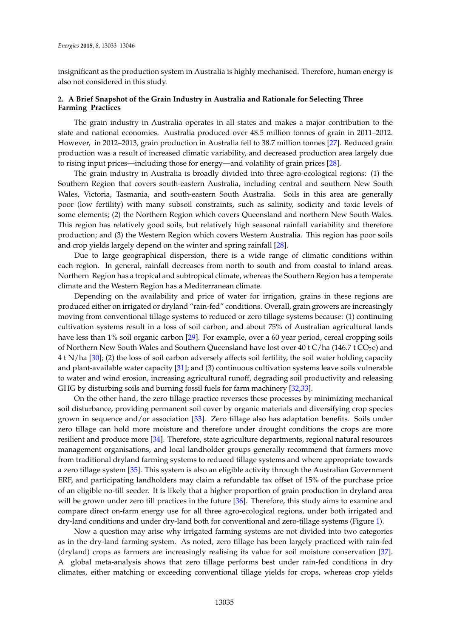insignificant as the production system in Australia is highly mechanised. Therefore, human energy is also not considered in this study.

#### **2. A Brief Snapshot of the Grain Industry in Australia and Rationale for Selecting Three Farming Practices**

The grain industry in Australia operates in all states and makes a major contribution to the state and national economies. Australia produced over 48.5 million tonnes of grain in 2011–2012. However, in 2012–2013, grain production in Australia fell to 38.7 million tonnes [\[27\]](#page-12-2). Reduced grain production was a result of increased climatic variability, and decreased production area largely due to rising input prices—including those for energy—and volatility of grain prices [\[28\]](#page-12-3).

The grain industry in Australia is broadly divided into three agro-ecological regions: (1) the Southern Region that covers south-eastern Australia, including central and southern New South Wales, Victoria, Tasmania, and south-eastern South Australia. Soils in this area are generally poor (low fertility) with many subsoil constraints, such as salinity, sodicity and toxic levels of some elements; (2) the Northern Region which covers Queensland and northern New South Wales. This region has relatively good soils, but relatively high seasonal rainfall variability and therefore production; and (3) the Western Region which covers Western Australia. This region has poor soils and crop yields largely depend on the winter and spring rainfall [\[28\]](#page-12-3).

Due to large geographical dispersion, there is a wide range of climatic conditions within each region. In general, rainfall decreases from north to south and from coastal to inland areas. Northern Region has a tropical and subtropical climate, whereas the Southern Region has a temperate climate and the Western Region has a Mediterranean climate.

Depending on the availability and price of water for irrigation, grains in these regions are produced either on irrigated or dryland "rain-fed" conditions. Overall, grain growers are increasingly moving from conventional tillage systems to reduced or zero tillage systems because: (1) continuing cultivation systems result in a loss of soil carbon, and about 75% of Australian agricultural lands have less than 1% soil organic carbon [\[29\]](#page-12-4). For example, over a 60 year period, cereal cropping soils of Northern New South Wales and Southern Queensland have lost over  $40 \text{ t C/ha}$  (146.7 t CO<sub>2</sub>e) and 4 t N/ha [\[30\]](#page-12-5); (2) the loss of soil carbon adversely affects soil fertility, the soil water holding capacity and plant-available water capacity [\[31\]](#page-12-6); and (3) continuous cultivation systems leave soils vulnerable to water and wind erosion, increasing agricultural runoff, degrading soil productivity and releasing GHG by disturbing soils and burning fossil fuels for farm machinery [\[32](#page-12-7)[,33\]](#page-12-8).

On the other hand, the zero tillage practice reverses these processes by minimizing mechanical soil disturbance, providing permanent soil cover by organic materials and diversifying crop species grown in sequence and/or association [\[33\]](#page-12-8). Zero tillage also has adaptation benefits. Soils under zero tillage can hold more moisture and therefore under drought conditions the crops are more resilient and produce more [\[34\]](#page-12-9). Therefore, state agriculture departments, regional natural resources management organisations, and local landholder groups generally recommend that farmers move from traditional dryland farming systems to reduced tillage systems and where appropriate towards a zero tillage system [\[35\]](#page-12-10). This system is also an eligible activity through the Australian Government ERF, and participating landholders may claim a refundable tax offset of 15% of the purchase price of an eligible no-till seeder. It is likely that a higher proportion of grain production in dryland area will be grown under zero till practices in the future [\[36\]](#page-12-11). Therefore, this study aims to examine and compare direct on-farm energy use for all three agro-ecological regions, under both irrigated and dry-land conditions and under dry-land both for conventional and zero-tillage systems (Figure [1\)](#page-3-0).

Now a question may arise why irrigated farming systems are not divided into two categories as in the dry-land farming system. As noted, zero tillage has been largely practiced with rain-fed (dryland) crops as farmers are increasingly realising its value for soil moisture conservation [\[37\]](#page-12-12). A global meta-analysis shows that zero tillage performs best under rain-fed conditions in dry climates, either matching or exceeding conventional tillage yields for crops, whereas crop yields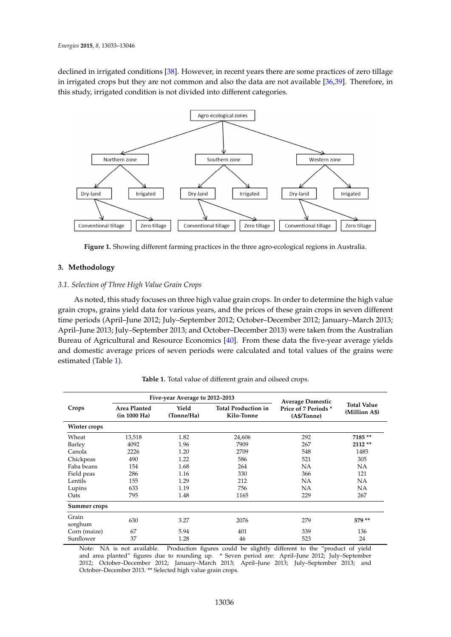declined in irrigated conditions [\[38\]](#page-12-13). However, in recent years there are some practices of zero tillage in irrigated crops but they are not common and also the data are not available [\[36,](#page-12-11)[39\]](#page-12-14). Therefore, in this study, irrigated condition is not divided into different categories.

<span id="page-3-0"></span>

**Figure 1.** Showing different farming practices in the three agro‐ecological regions in Australia. **Figure 1.** Showing different farming practices in the three agro-ecological regions in Australia.

#### *3.1. Selection of Three High Value Grain Crops* **3. Methodology**

### As noted, this study focuses on three high value grain crops. In order to determine the high value *3.1. Selection of Three High Value Grain Crops*

As noted, this study focuses on three high value grain crops. In order to determine the high value tis holed, this study–focuses on three high-value grain erops. In order-to determine the highgrain crops, grains yield data for various years, and the prices of these grain crops in seven different time periods (April–June 2012; July–September 2012; October–December 2012; January–March 2013; April–June 2013; July–September 2013; and October–December 2013) were taken from the Australian Bureau of Agricultural and Resource Economics [\[40\]](#page-12-15). From these data the five-year average yields and domestic average prices of seven periods were calculated and total values of the grains were estimated (Table [1\)](#page-3-1).

<span id="page-3-1"></span>

|                                                                                                 |                                                                  | Five-year Average to 2012-2013                                       |                                                                   | <b>Average Domestic</b>                                         |                                                                                |  |
|-------------------------------------------------------------------------------------------------|------------------------------------------------------------------|----------------------------------------------------------------------|-------------------------------------------------------------------|-----------------------------------------------------------------|--------------------------------------------------------------------------------|--|
| Crops                                                                                           | Area Planted<br>(in 1000 Ha)                                     | Yield<br>(Tonne/Ha)                                                  | <b>Total Production in</b><br>Kilo-Tonne                          | <b>Price of 7 Periods *</b><br>(A\$/Tonne)                      | <b>Total Value</b><br>(Million A\$)                                            |  |
| Winter crops                                                                                    |                                                                  |                                                                      |                                                                   |                                                                 |                                                                                |  |
| Wheat<br>Barley<br>Canola<br>Chickpeas<br>Faba beans<br>Field peas<br>Lentils<br>Lupins<br>Oats | 13,518<br>4092<br>2226<br>490<br>154<br>286<br>155<br>633<br>795 | 1.82<br>1.96<br>1.20<br>1.22<br>1.68<br>1.16<br>1.29<br>1.19<br>1.48 | 24,606<br>7909<br>2709<br>586<br>264<br>330<br>212<br>756<br>1165 | 292<br>267<br>548<br>521<br><b>NA</b><br>366<br>NA<br>NA<br>229 | 7185**<br>2112 **<br>1485<br>305<br><b>NA</b><br>121<br><b>NA</b><br>NA<br>267 |  |
| Summer crops                                                                                    |                                                                  |                                                                      |                                                                   |                                                                 |                                                                                |  |
| Grain<br>sorghum                                                                                | 630                                                              | 3.27                                                                 | 2076                                                              | 279                                                             | 579 **                                                                         |  |
| Corn (maize)<br>Sunflower                                                                       | 67<br>37                                                         | 5.94<br>1.28                                                         | 401<br>46                                                         | 339<br>523                                                      | 136<br>24                                                                      |  |

Table 1. Total value of different grain and oilseed crops.

The top three dimensions were value and  $\frac{1}{2}$  are  $\frac{1}{2}$  and  $\frac{1}{2}$  are  $\frac{1}{2}$  and  $\frac{1}{2}$  are  $\frac{1}{2}$  and  $\frac{1}{2}$  are  $\frac{1}{2}$  and  $\frac{1}{2}$  are  $\frac{1}{2}$  and  $\frac{1}{2}$  are  $\frac{1}{2}$  and  $\frac{1}{2}$  are 2012; October–December 2012; January–March 2013; April–June 2013; July–September 2013; and<br>October–December 2013 \*\* Selected bigh value grain crops  $\mathbf{r}$  selected grain crops are winter crops (when the third one is a summer crops (when the third one is a summer crops (when the third one is a summer crops (when the third one is a summer crops (when the third one is Note: NA is not available. Production figures could be slightly different to the "product of yield and area planted" figures due to rounding up. \* Seven period are: April–June 2012; July–September October–December 2013. \*\* Selected high value grain crops.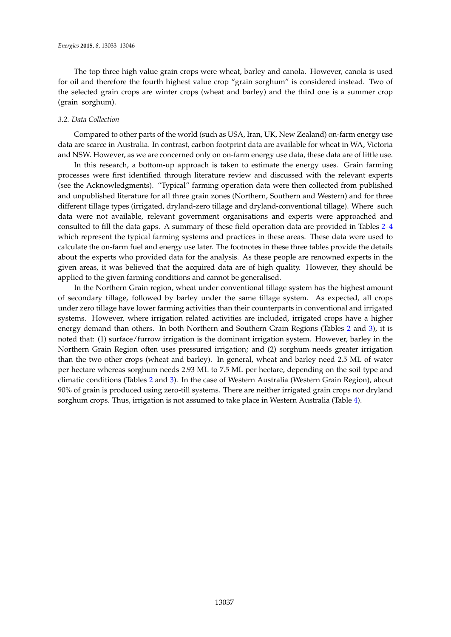The top three high value grain crops were wheat, barley and canola. However, canola is used for oil and therefore the fourth highest value crop "grain sorghum" is considered instead. Two of the selected grain crops are winter crops (wheat and barley) and the third one is a summer crop (grain sorghum).

#### *3.2. Data Collection*

Compared to other parts of the world (such as USA, Iran, UK, New Zealand) on-farm energy use data are scarce in Australia. In contrast, carbon footprint data are available for wheat in WA, Victoria and NSW. However, as we are concerned only on on-farm energy use data, these data are of little use.

In this research, a bottom-up approach is taken to estimate the energy uses. Grain farming processes were first identified through literature review and discussed with the relevant experts (see the Acknowledgments). "Typical" farming operation data were then collected from published and unpublished literature for all three grain zones (Northern, Southern and Western) and for three different tillage types (irrigated, dryland-zero tillage and dryland-conventional tillage). Where such data were not available, relevant government organisations and experts were approached and consulted to fill the data gaps. A summary of these field operation data are provided in Tables [2–](#page-5-0)[4](#page-6-0) which represent the typical farming systems and practices in these areas. These data were used to calculate the on-farm fuel and energy use later. The footnotes in these three tables provide the details about the experts who provided data for the analysis. As these people are renowned experts in the given areas, it was believed that the acquired data are of high quality. However, they should be applied to the given farming conditions and cannot be generalised.

In the Northern Grain region, wheat under conventional tillage system has the highest amount of secondary tillage, followed by barley under the same tillage system. As expected, all crops under zero tillage have lower farming activities than their counterparts in conventional and irrigated systems. However, where irrigation related activities are included, irrigated crops have a higher energy demand than others. In both Northern and Southern Grain Regions (Tables [2](#page-5-0) and [3\)](#page-5-1), it is noted that: (1) surface/furrow irrigation is the dominant irrigation system. However, barley in the Northern Grain Region often uses pressured irrigation; and (2) sorghum needs greater irrigation than the two other crops (wheat and barley). In general, wheat and barley need 2.5 ML of water per hectare whereas sorghum needs 2.93 ML to 7.5 ML per hectare, depending on the soil type and climatic conditions (Tables [2](#page-5-0) and [3\)](#page-5-1). In the case of Western Australia (Western Grain Region), about 90% of grain is produced using zero-till systems. There are neither irrigated grain crops nor dryland sorghum crops. Thus, irrigation is not assumed to take place in Western Australia (Table [4\)](#page-6-0).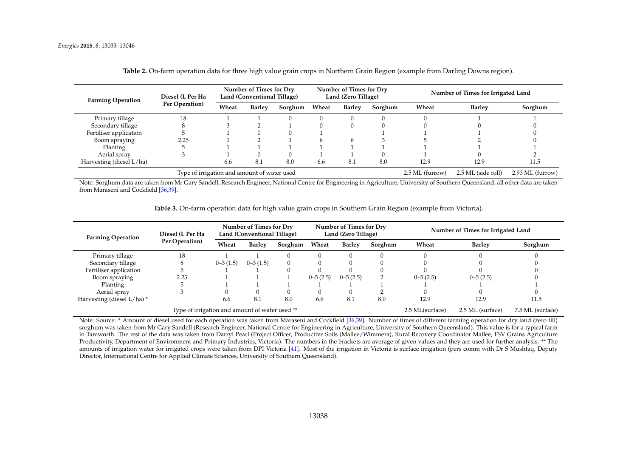| <b>Farming Operation</b> | Diesel (L Per Ha                            | Number of Times for Dry<br>Land (Conventional Tillage) |               |         | Number of Times for Dry<br>Land (Zero Tillage) |               |         | Number of Times for Irrigated Land |                    |                  |  |
|--------------------------|---------------------------------------------|--------------------------------------------------------|---------------|---------|------------------------------------------------|---------------|---------|------------------------------------|--------------------|------------------|--|
|                          | Per Operation)                              | Wheat                                                  | <b>Barley</b> | Sorghum | Wheat                                          | <b>Barley</b> | Sorghum | Wheat                              | <b>Barley</b>      | Sorghum          |  |
| Primary tillage          | 18                                          |                                                        |               |         |                                                |               |         |                                    |                    |                  |  |
| Secondary tillage        |                                             |                                                        |               |         |                                                | $\theta$      |         |                                    |                    |                  |  |
| Fertiliser application   |                                             |                                                        |               |         |                                                |               |         |                                    |                    |                  |  |
| Boom spraying            | 2.25                                        |                                                        |               |         | h                                              | 6             |         |                                    |                    |                  |  |
| Planting                 |                                             |                                                        |               |         |                                                |               |         |                                    |                    |                  |  |
| Aerial spray             |                                             |                                                        |               |         |                                                |               |         |                                    |                    |                  |  |
| Harvesting (diesel L/ha) |                                             | 6.6                                                    | 8.1           | 8.0     | 6.6                                            | 8.1           | 8.0     | 12.9                               | 12.9               | 11.5             |  |
|                          | Type of irrigation and amount of water used |                                                        |               |         |                                                |               |         | 2.5 ML (furrow)                    | 2.5 ML (side roll) | 2.93 ML (furrow) |  |

**Table 2.** On-farm operation data for three high value grain crops in Northern Grain Region (example from Darling Downs region).

Note: Sorghum data are taken from Mr Gary Sandell, Research Engineer, National Centre for Engineering in Agriculture, University of Southern Queensland; all other data are taken from Maraseni and Cockfield [\[36,](#page-12-16)[39\]](#page-12-6).

**Table 3.** On-farm operation data for high value grain crops in Southern Grain Region (example from Victoria).

<span id="page-5-0"></span>

| <b>Farming Operation</b>   | Diesel (L Per Ha                               | Number of Times for Dry<br>Land (Conventional Tillage) |               |         |              | Number of Times for Dry<br>Land (Zero Tillage) |         | Number of Times for Irrigated Land |                  |                  |  |
|----------------------------|------------------------------------------------|--------------------------------------------------------|---------------|---------|--------------|------------------------------------------------|---------|------------------------------------|------------------|------------------|--|
|                            | Per Operation)                                 | Wheat                                                  | <b>Barley</b> | Sorghum | Wheat        | <b>Barley</b>                                  | Sorghum | Wheat                              | <b>Barley</b>    | Sorghum          |  |
| Primary tillage            | 18                                             |                                                        |               |         |              |                                                |         |                                    |                  |                  |  |
| Secondary tillage          |                                                | $0 - 3(1.5)$                                           | $0 - 3(1.5)$  |         |              |                                                |         |                                    |                  |                  |  |
| Fertiliser application     |                                                |                                                        |               |         |              |                                                |         |                                    |                  |                  |  |
| Boom spraying              | 2.25                                           |                                                        |               |         | $0 - 5(2.5)$ | $0 - 5(2.5)$                                   |         | $0-5(2.5)$                         | $0 - 5(2.5)$     |                  |  |
| Planting                   |                                                |                                                        |               |         |              |                                                |         |                                    |                  |                  |  |
| Aerial spray               |                                                |                                                        |               |         |              |                                                |         |                                    |                  |                  |  |
| Harvesting (diesel L/ha) * |                                                | 6.6                                                    | 8.1           | 8.0     | 6.6          | 8.1                                            | 8.0     | 12.9                               | 12.9             | 11.5             |  |
|                            | Type of irrigation and amount of water used ** |                                                        |               |         |              |                                                |         | 2.5 ML(surface)                    | 2.5 ML (surface) | 7.5 ML (surface) |  |

<span id="page-5-1"></span>Note: Source: \* Amount of diesel used for each operation was taken from Maraseni and Cockfield [\[36,](#page-12-16)[39\]](#page-12-6). Number of times of different farming operation for dry land (zero till) sorghum was taken from Mr Gary Sandell (Research Engineer, National Centre for Engineering in Agriculture, University of Southern Queensland). This value is for a typical farm in Tamworth. The rest of the data was taken from Darryl Pearl (Project Officer, Productive Soils (Mallee/Wimmera), Rural Recovery Coordinator Mallee, FSV Grains Agriculture Productivity, Department of Environment and Primary Industries, Victoria). The numbers in the brackets are average of given values and they are used for further analysis. \*\* The amounts of irrigation water for irrigated crops were taken from DPI Victoria [\[41\]](#page-12-17). Most of the irrigation in Victoria is surface irrigation (pers comm with Dr S Mushtaq, Deputy Director, International Centre for Applied Climate Sciences, University of Southern Queensland).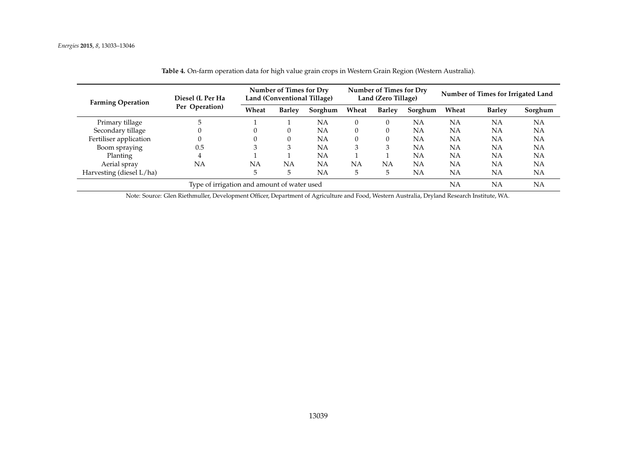| <b>Farming Operation</b> | Diesel (L Per Ha                            | Number of Times for Dry<br><b>Land (Conventional Tillage)</b> |               |           | <b>Number of Times for Dry</b><br>Land (Zero Tillage) |               |           | Number of Times for Irrigated Land |               |           |
|--------------------------|---------------------------------------------|---------------------------------------------------------------|---------------|-----------|-------------------------------------------------------|---------------|-----------|------------------------------------|---------------|-----------|
|                          | Per Operation)                              | Wheat                                                         | <b>Barley</b> | Sorghum   | Wheat                                                 | <b>Barley</b> | Sorghum   | Wheat                              | <b>Barley</b> | Sorghum   |
| Primary tillage          |                                             |                                                               |               | <b>NA</b> | 0                                                     | $\theta$      | NΑ        | <b>NA</b>                          | NA            | <b>NA</b> |
| Secondary tillage        |                                             |                                                               |               | NΑ        |                                                       | $\theta$      | <b>NA</b> | NA                                 | NA            | <b>NA</b> |
| Fertiliser application   |                                             |                                                               |               | NΑ        |                                                       | $\Omega$      | <b>NA</b> | NΑ                                 | NΑ            | NA        |
| Boom spraying            | 0.5                                         |                                                               | З             | NΑ        | 3                                                     | 3             | NА        | NΑ                                 | NΑ            | NA        |
| Planting                 |                                             |                                                               |               | NΑ        |                                                       |               | NA        | NΑ                                 | NΑ            | NA        |
| Aerial spray             | NA                                          | NA                                                            | NA            | NA        | NA                                                    | <b>NA</b>     | <b>NA</b> | NA                                 | NA            | NA        |
| Harvesting (diesel L/ha) |                                             | 5                                                             | 5             | NA        | 5                                                     | 5             | <b>NA</b> | NA                                 | NA            | <b>NA</b> |
|                          | Type of irrigation and amount of water used |                                                               |               |           |                                                       |               |           | NA                                 | NA            | <b>NA</b> |

**Table 4.** On-farm operation data for high value grain crops in Western Grain Region (Western Australia).

<span id="page-6-0"></span>Note: Source: Glen Riethmuller, Development Officer, Department of Agriculture and Food, Western Australia, Dryland Research Institute, WA.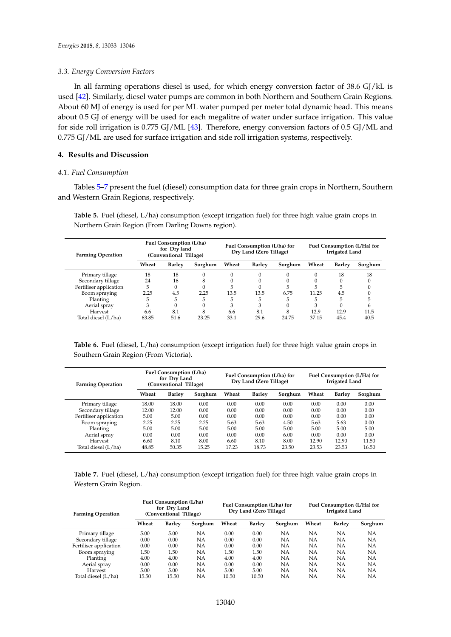#### *3.3. Energy Conversion Factors*

In all farming operations diesel is used, for which energy conversion factor of 38.6 GJ/kL is used [\[42\]](#page-12-18). Similarly, diesel water pumps are common in both Northern and Southern Grain Regions. About 60 MJ of energy is used for per ML water pumped per meter total dynamic head. This means about 0.5 GJ of energy will be used for each megalitre of water under surface irrigation. This value for side roll irrigation is 0.775 GJ/ML [\[43\]](#page-12-19). Therefore, energy conversion factors of 0.5 GJ/ML and 0.775 GJ/ML are used for surface irrigation and side roll irrigation systems, respectively.

#### **4. Results and Discussion**

#### *4.1. Fuel Consumption*

Tables [5–](#page-7-0)[7](#page-7-1) present the fuel (diesel) consumption data for three grain crops in Northern, Southern and Western Grain Regions, respectively.

<span id="page-7-0"></span>**Table 5.** Fuel (diesel, L/ha) consumption (except irrigation fuel) for three high value grain crops in Northern Grain Region (From Darling Downs region).

| <b>Farming Operation</b> |       | <b>Fuel Consumption (L/ha)</b><br>for Dry land<br>(Conventional Tillage) | Fuel Consumption (L/ha) for<br>Dry Land (Zero Tillage)<br>Wheat<br>Sorghum<br>0<br>8<br>5<br>2.25<br>13.5<br>5<br>5<br>3<br>$\Omega$ |      |               |         | Fuel Consumption (L/Ha) for<br><b>Irrigated Land</b> |        |         |
|--------------------------|-------|--------------------------------------------------------------------------|--------------------------------------------------------------------------------------------------------------------------------------|------|---------------|---------|------------------------------------------------------|--------|---------|
|                          | Wheat | <b>Barley</b>                                                            |                                                                                                                                      |      | <b>Barley</b> | Sorghum | Wheat                                                | Barley | Sorghum |
| Primary tillage          | 18    | 18                                                                       |                                                                                                                                      |      |               |         |                                                      | 18     | 18      |
| Secondary tillage        | 24    | 16                                                                       |                                                                                                                                      |      |               |         |                                                      |        |         |
| Fertiliser application   |       |                                                                          |                                                                                                                                      |      |               | 5       | 5                                                    | 5      |         |
| Boom spraying            | 2.25  | 4.5                                                                      |                                                                                                                                      |      | 13.5          | 6.75    | 11.25                                                | 4.5    |         |
| Planting                 |       | 5                                                                        |                                                                                                                                      |      |               | 5       | 5                                                    | 5      |         |
| Aerial spray             |       |                                                                          |                                                                                                                                      |      |               |         |                                                      |        |         |
| Harvest                  | 6.6   | 8.1                                                                      | 8                                                                                                                                    | 6.6  | 8.1           | 8       | 12.9                                                 | 12.9   | 11.5    |
| Total diesel (L/ha)      | 63.85 | 51.6                                                                     | 23.25                                                                                                                                | 33.1 | 29.6          | 24.75   | 37.15                                                | 45.4   | 40.5    |

**Table 6.** Fuel (diesel, L/ha) consumption (except irrigation fuel) for three high value grain crops in Southern Grain Region (From Victoria).

| <b>Farming Operation</b> |       | <b>Fuel Consumption (L/ha)</b><br>for Dry Land<br>(Conventional Tillage) |         | Fuel Consumption (L/ha) for<br>Dry Land (Zero Tillage) |               |         | Fuel Consumption (L/Ha) for<br>Irrigated Land |               |         |
|--------------------------|-------|--------------------------------------------------------------------------|---------|--------------------------------------------------------|---------------|---------|-----------------------------------------------|---------------|---------|
|                          | Wheat | <b>Barley</b>                                                            | Sorghum | Wheat                                                  | <b>Barley</b> | Sorghum | Wheat                                         | <b>Barley</b> | Sorghum |
| Primary tillage          | 18.00 | 18.00                                                                    | 0.00    | 0.00                                                   | 0.00          | 0.00    | 0.00                                          | 0.00          | 0.00    |
| Secondary tillage        | 12.00 | 12.00                                                                    | 0.00    | 0.00                                                   | 0.00          | 0.00    | 0.00                                          | 0.00          | 0.00    |
| Fertiliser application   | 5.00  | 5.00                                                                     | 0.00    | 0.00                                                   | 0.00          | 0.00    | 0.00                                          | 0.00          | 0.00    |
| Boom spraying            | 2.25  | 2.25                                                                     | 2.25    | 5.63                                                   | 5.63          | 4.50    | 5.63                                          | 5.63          | 0.00    |
| Planting                 | 5.00  | 5.00                                                                     | 5.00    | 5.00                                                   | 5.00          | 5.00    | 5.00                                          | 5.00          | 5.00    |
| Aerial spray             | 0.00  | 0.00                                                                     | 0.00    | 0.00                                                   | 0.00          | 6.00    | 0.00                                          | 0.00          | 0.00    |
| Harvest                  | 6.60  | 8.10                                                                     | 8.00    | 6.60                                                   | 8.10          | 8.00    | 12.90                                         | 12.90         | 11.50   |
| Total diesel (L/ha)      | 48.85 | 50.35                                                                    | 15.25   | 17.23                                                  | 18.73         | 23.50   | 23.53                                         | 23.53         | 16.50   |

<span id="page-7-1"></span>**Table 7.** Fuel (diesel, L/ha) consumption (except irrigation fuel) for three high value grain crops in Western Grain Region.

| <b>Farming Operation</b> |       | <b>Fuel Consumption (L/ha)</b><br>for Drv Land<br>(Conventional Tillage) |         |       | Fuel Consumption (L/ha) for<br>Dry Land (Zero Tillage) |           | Fuel Consumption (L/Ha) for<br><b>Irrigated Land</b> |               |         |
|--------------------------|-------|--------------------------------------------------------------------------|---------|-------|--------------------------------------------------------|-----------|------------------------------------------------------|---------------|---------|
|                          | Wheat | <b>Barley</b>                                                            | Sorghum | Wheat | <b>Barley</b>                                          | Sorghum   | Wheat                                                | <b>Barley</b> | Sorghum |
| Primary tillage          | 5.00  | 5.00                                                                     | NA      | 0.00  | 0.00                                                   | NА        | <b>NA</b>                                            | <b>NA</b>     | NА      |
| Secondary tillage        | 0.00  | 0.00                                                                     | NΑ      | 0.00  | 0.00                                                   | NА        | NА                                                   | NΑ            | NА      |
| Fertiliser application   | 0.00  | 0.00                                                                     | NА      | 0.00  | 0.00                                                   | <b>NA</b> | NА                                                   | NА            | NA      |
| Boom spraying            | 1.50  | 1.50                                                                     | NА      | 1.50  | 1.50                                                   | NА        | NА                                                   | NА            | NА      |
| Planting                 | 4.00  | 4.00                                                                     | NA      | 4.00  | 4.00                                                   | NA        | NА                                                   | NA            | NА      |
| Aerial spray             | 0.00  | 0.00                                                                     | NА      | 0.00  | 0.00                                                   | NA        | NА                                                   | <b>NA</b>     | NА      |
| Harvest                  | 5.00  | 5.00                                                                     | NΑ      | 5.00  | 5.00                                                   | <b>NA</b> | ΝA                                                   | <b>NA</b>     | NΑ      |
| Total diesel (L/ha)      | 15.50 | 15.50                                                                    | NΑ      | 10.50 | 10.50                                                  | NΑ        | NА                                                   | NА            | NА      |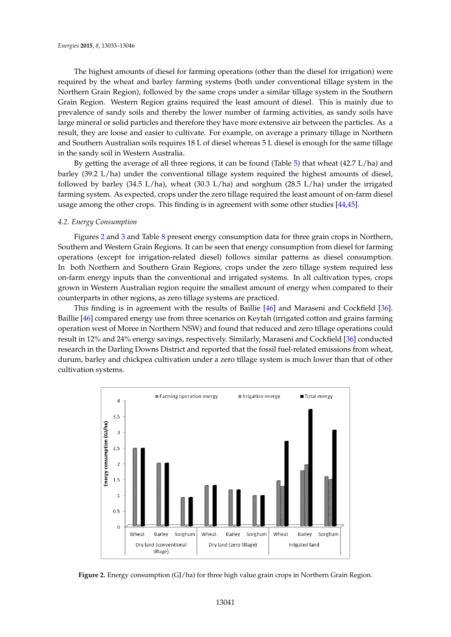The highest amounts of diesel for farming operations (other than the diesel for irrigation) were required by the wheat and barley farming systems (both under conventional tillage system in the Northern Grain Region), followed by the same crops under a similar tillage system in the Southern<br>-Grain Region. Western Region grains required the least amount of diesel. This is mainly due to prevalence of sandy soils and thereby the lower number of farming activities, as sandy soils have large mineral or solid particles and therefore they have more extensive air between the particles. As a result, they are loose and easier to cultivate. For example, on average a primary tillage in Northern and Southern Australian soils requires 18 L of diesel whereas 5 L diesel is enough for the same tillage in the sandy soil in Western Australia.

By getting the average of all three regions, it can be found (Table [5\)](#page-7-0) that wheat (42.7 L/ha) and barley (39.2 L/ha) under the conventional tillage system required the highest amounts of diesel, followed by barley (34.5 L/ha), wheat (30.3 L/ha) and sorghum (28.5 L/ha) under the irrigated farming system. As expected, crops under the zero tillage required the least amount of on-farm diesel usage among the other crops. This finding is in agreement with some other studies [\[44](#page-12-20)[,45\]](#page-12-21).  $\theta$  and  $\theta$  are vero to performed the  $\theta$  and  $\theta$  are  $\theta$  the least and  $\theta$  and  $\theta$  and  $\theta$  are  $\theta$ 

## **4.2. Energy Consumption**

Figures [2](#page-8-0) and 3 and Table [8](#page-9-1) present energy consumption data for three grain crops in Northern, *4.2. Energy Cons[um](#page-9-0)ption* Southern and Western Grain Regions. It can be seen that energy consumption from diesel for farming operations (except for irrigation-related diesel) follows similar patterns as diesel consumption. In both Northern and Southern Grain Regions, crops under the zero tillage system required less on-farm energy inputs than the conventional and irrigated systems. In all cultivation types, crops grown in Western Australian region require the smallest amount of energy when compared to their counterparts in other regions, as zero tillage systems are practiced.

This finding is in agreement with the results of Baillie [46] and Maraseni and Cockfield [\[36\]](#page-12-11). Baillie [\[46\]](#page-13-0) compared energy use from three scenarios on Keytah (irrigated cotton and grains farming operation west of Moree in Northern NSW) and found that reduced and zero tillage operations could result in 12% and 24% energy savings, respectively. Similarly, Maraseni and Cockfield [\[36\]](#page-12-11) conducted research in the Darling Downs District and reported that the fossil fuel-related emissions from wheat, durum, barley and chickpea cultivation under a zero tillage system is much lower than that of other cultivation systems. fuels for exceptions from which where where and chicken and chickpea cultivation under a zero till and chick p systems.

<span id="page-8-0"></span>

**Figure 2.** Energy consumption (GJ/ha) for three high value grain crops in Northern Grain Region.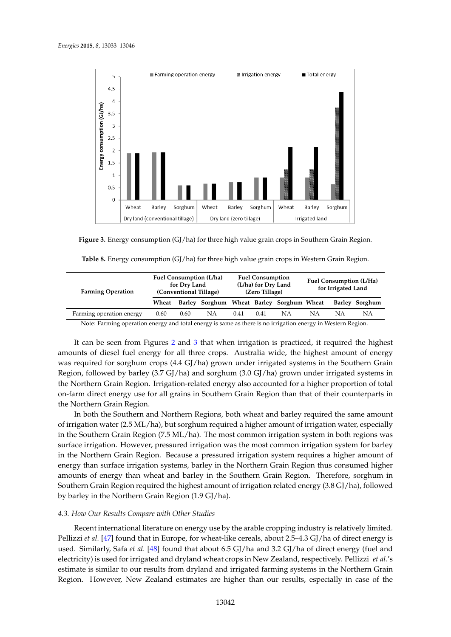<span id="page-9-0"></span>

**Figure 3.** Energy consumption (GJ/ha) for three high value grain crops in Southern Grain Region. **Figure 3.** Energy consumption (GJ/ha) for three high value grain crops in Southern Grain Region.

|  |  | Table 8. Energy consumption (GJ/ha) for three high value grain crops in Western Grain Region. |
|--|--|-----------------------------------------------------------------------------------------------|

<span id="page-9-1"></span>

| <b>Farming Operation</b> |       | <b>Fuel Consumption (L/ha)</b><br>for Dry Land<br>(Conventional Tillage) |                                           |      | <b>Fuel Consumption</b><br>(L/ha) for Dry Land<br>(Zero Tillage) |           |    | <b>Fuel Consumption (L/Ha)</b><br>for Irrigated Land |                |  |
|--------------------------|-------|--------------------------------------------------------------------------|-------------------------------------------|------|------------------------------------------------------------------|-----------|----|------------------------------------------------------|----------------|--|
|                          | Wheat |                                                                          | Barley Sorghum Wheat Barley Sorghum Wheat |      |                                                                  |           |    |                                                      | Barley Sorghum |  |
| Farming operation energy | 0.60  | 0.60                                                                     | NΑ                                        | 0.41 | 0.41                                                             | <b>NA</b> | ΝA | ΝA                                                   | ΝA             |  |

Note: Farming operation energy and total energy is same as there is no irrigation energy in Western Region.

It can be s[ee](#page-9-0)n from Figures 2 and 3 that when irrigation is practiced, it required the highest amounts of diesel fuel energy for all three crops. Australia wide, the highest amount of energy was required for sorghum crops (4.4 GJ/ha) grown under irrigated systems in the Southern Grain Region, followed by barley (3.7 GJ/ha) and sorghum (3.0 GJ/ha) grown under irrigated systems in the Northern Grain Region. Irrigation-related energy also accounted for a higher proportion of total on-farm direct energy use for all grains in Southern Grain Region than that of their counterparts in the Northern Grain Region.

In both the Southern and Northern Regions, both wheat and barley required the same amount of irrigation water (2.5 ML/ha), but sorghum required a higher amount of irrigation water, especially in the Southern Grain Region (7.5 ML/ha). The most common irrigation system in both regions was surface irrigation. However, pressured irrigation was the most common irrigation system for barley in the Northern Grain Region. Because a pressured irrigation system requires a higher amount of energy than surface irrigation systems, barley in the Northern Grain Region thus consumed higher amounts of energy than wheat and barley in the Southern Grain Region. Therefore, sorghum in Southern Grain Region required the highest amount of irrigation related energy (3.8 GJ/ha), followed *4.3. How Our Results Compare with Other Studies* by barley in the Northern Grain Region (1.9 GJ/ha).

## Recent international literature on energy use by the arable cropping industry is relatively *4.3. How Our Results Compare with Other Studies*

Recent international literature on energy use by the arable cropping industry is relatively limited. Pellizzi et al. [\[47\]](#page-13-1) found that in Europe, for wheat-like cereals, about 2.5-4.3 GJ/ha of direct energy is used. Similarly, Safa *et al.* [\[48\]](#page-13-2) found that about 6.5 GJ/ha and 3.2 GJ/ha of direct energy (fuel and electricity) is used for irrigated and dryland wheat crops in New Zealand, respectively. Pellizzi et al.'s estimate is similar to our results from dryland and irrigated farming systems in the Northern Grain Region. However, New Zealand estimates are higher than our results, especially in case of the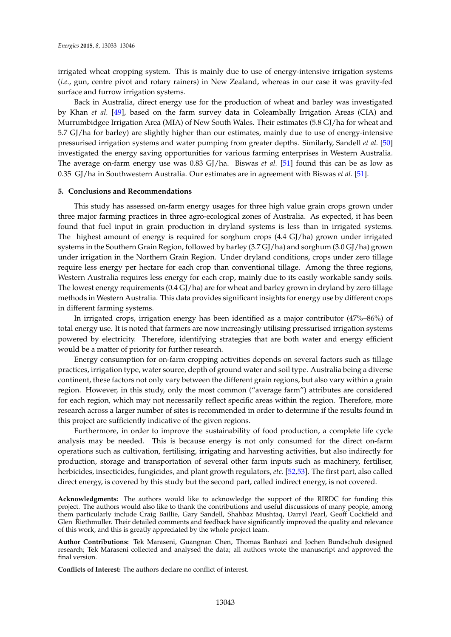irrigated wheat cropping system. This is mainly due to use of energy-intensive irrigation systems (*i.e.*, gun, centre pivot and rotary rainers) in New Zealand, whereas in our case it was gravity-fed surface and furrow irrigation systems.

Back in Australia, direct energy use for the production of wheat and barley was investigated by Khan *et al.* [\[49\]](#page-13-3), based on the farm survey data in Coleambally Irrigation Areas (CIA) and Murrumbidgee Irrigation Area (MIA) of New South Wales. Their estimates (5.8 GJ/ha for wheat and 5.7 GJ/ha for barley) are slightly higher than our estimates, mainly due to use of energy-intensive pressurised irrigation systems and water pumping from greater depths. Similarly, Sandell *et al.* [\[50\]](#page-13-4) investigated the energy saving opportunities for various farming enterprises in Western Australia. The average on-farm energy use was 0.83 GJ/ha. Biswas *et al.* [\[51\]](#page-13-5) found this can be as low as 0.35 GJ/ha in Southwestern Australia. Our estimates are in agreement with Biswas *et al.* [\[51\]](#page-13-5).

#### **5. Conclusions and Recommendations**

This study has assessed on-farm energy usages for three high value grain crops grown under three major farming practices in three agro-ecological zones of Australia. As expected, it has been found that fuel input in grain production in dryland systems is less than in irrigated systems. The highest amount of energy is required for sorghum crops (4.4 GJ/ha) grown under irrigated systems in the Southern Grain Region, followed by barley (3.7 GJ/ha) and sorghum (3.0 GJ/ha) grown under irrigation in the Northern Grain Region. Under dryland conditions, crops under zero tillage require less energy per hectare for each crop than conventional tillage. Among the three regions, Western Australia requires less energy for each crop, mainly due to its easily workable sandy soils. The lowest energy requirements (0.4 GJ/ha) are for wheat and barley grown in dryland by zero tillage methods in Western Australia. This data provides significant insights for energy use by different crops in different farming systems.

In irrigated crops, irrigation energy has been identified as a major contributor (47%–86%) of total energy use. It is noted that farmers are now increasingly utilising pressurised irrigation systems powered by electricity. Therefore, identifying strategies that are both water and energy efficient would be a matter of priority for further research.

Energy consumption for on-farm cropping activities depends on several factors such as tillage practices, irrigation type, water source, depth of ground water and soil type. Australia being a diverse continent, these factors not only vary between the different grain regions, but also vary within a grain region. However, in this study, only the most common ("average farm") attributes are considered for each region, which may not necessarily reflect specific areas within the region. Therefore, more research across a larger number of sites is recommended in order to determine if the results found in this project are sufficiently indicative of the given regions.

Furthermore, in order to improve the sustainability of food production, a complete life cycle analysis may be needed. This is because energy is not only consumed for the direct on-farm operations such as cultivation, fertilising, irrigating and harvesting activities, but also indirectly for production, storage and transportation of several other farm inputs such as machinery, fertiliser, herbicides, insecticides, fungicides, and plant growth regulators, *etc.* [\[52,](#page-13-6)[53\]](#page-13-7). The first part, also called direct energy, is covered by this study but the second part, called indirect energy, is not covered.

**Acknowledgments:** The authors would like to acknowledge the support of the RIRDC for funding this project. The authors would also like to thank the contributions and useful discussions of many people, among them particularly include Craig Baillie, Gary Sandell, Shahbaz Mushtaq, Darryl Pearl, Geoff Cockfield and Glen Riethmuller. Their detailed comments and feedback have significantly improved the quality and relevance of this work, and this is greatly appreciated by the whole project team.

**Author Contributions:** Tek Maraseni, Guangnan Chen, Thomas Banhazi and Jochen Bundschuh designed research; Tek Maraseni collected and analysed the data; all authors wrote the manuscript and approved the final version.

**Conflicts of Interest:** The authors declare no conflict of interest.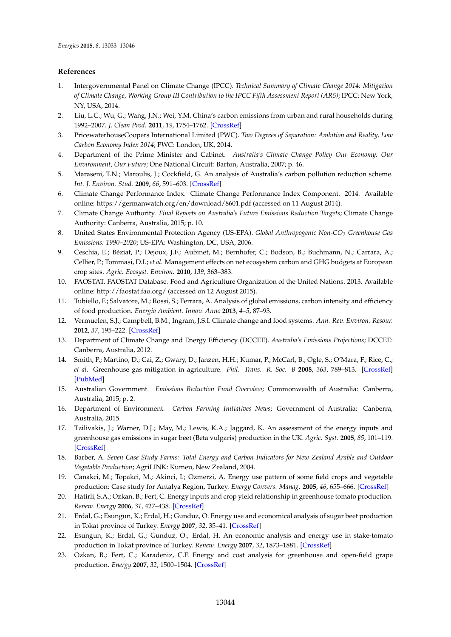#### **References**

- <span id="page-11-0"></span>1. Intergovernmental Panel on Climate Change (IPCC). *Technical Summary of Climate Change 2014: Mitigation of Climate Change, Working Group III Contribution to the IPCC Fifth Assessment Report (AR5)*; IPCC: New York, NY, USA, 2014.
- <span id="page-11-1"></span>2. Liu, L.C.; Wu, G.; Wang, J.N.; Wei, Y.M. China's carbon emissions from urban and rural households during 1992–2007. *J. Clean Prod.* **2011**, *19*, 1754–1762. [\[CrossRef\]](http://dx.doi.org/10.1016/j.jclepro.2011.06.011)
- <span id="page-11-2"></span>3. PricewaterhouseCoopers International Limited (PWC). *Two Degrees of Separation: Ambition and Reality, Low Carbon Economy Index 2014*; PWC: London, UK, 2014.
- <span id="page-11-3"></span>4. Department of the Prime Minister and Cabinet. *Australia's Climate Change Policy Our Economy, Our Environment, Our Future*; One National Circuit: Barton, Australia, 2007; p. 46.
- <span id="page-11-4"></span>5. Maraseni, T.N.; Maroulis, J.; Cockfield, G. An analysis of Australia's carbon pollution reduction scheme. *Int. J. Environ. Stud.* **2009**, *66*, 591–603. [\[CrossRef\]](http://dx.doi.org/10.1080/00207230902916190)
- <span id="page-11-5"></span>6. Climate Change Performance Index. Climate Change Performance Index Component. 2014. Available online: https://germanwatch.org/en/download/8601.pdf (accessed on 11 August 2014).
- <span id="page-11-6"></span>7. Climate Change Authority. *Final Reports on Australia's Future Emissions Reduction Targets*; Climate Change Authority: Canberra, Australia, 2015; p. 10.
- <span id="page-11-7"></span>8. United States Environmental Protection Agency (US-EPA). *Global Anthropogenic Non-CO<sup>2</sup> Greenhouse Gas Emissions: 1990–2020*; US-EPA: Washington, DC, USA, 2006.
- <span id="page-11-8"></span>9. Ceschia, E.; Béziat, P.; Dejoux, J.F.; Aubinet, M.; Bernhofer, C.; Bodson, B.; Buchmann, N.; Carrara, A.; Cellier, P.; Tommasi, D.I.; *et al*. Management effects on net ecosystem carbon and GHG budgets at European crop sites. *Agric. Ecosyst. Environ.* **2010**, *139*, 363–383.
- 10. FAOSTAT. FAOSTAT Database. Food and Agriculture Organization of the United Nations. 2013. Available online: http://faostat.fao.org/ (accessed on 12 August 2015).
- <span id="page-11-9"></span>11. Tubiello, F.; Salvatore, M.; Rossi, S.; Ferrara, A. Analysis of global emissions, carbon intensity and efficiency of food production. *Energia Ambient. Innov. Anno* **2013**, *4–5*, 87–93.
- <span id="page-11-10"></span>12. Vermuelen, S.J.; Campbell, B.M.; Ingram, J.S.I. Climate change and food systems. *Ann. Rev. Environ. Resour.* **2012**, *37*, 195–222. [\[CrossRef\]](http://dx.doi.org/10.1146/annurev-environ-020411-130608)
- <span id="page-11-11"></span>13. Department of Climate Change and Energy Efficiency (DCCEE). *Australia's Emissions Projections*; DCCEE: Canberra, Australia, 2012.
- <span id="page-11-12"></span>14. Smith, P.; Martino, D.; Cai, Z.; Gwary, D.; Janzen, H.H.; Kumar, P.; McCarl, B.; Ogle, S.; O'Mara, F.; Rice, C.; *et al*. Greenhouse gas mitigation in agriculture. *Phil. Trans. R. Soc. B* **2008**, *363*, 789–813. [\[CrossRef\]](http://dx.doi.org/10.1098/rstb.2007.2184) [\[PubMed\]](http://www.ncbi.nlm.nih.gov/pubmed/17827109)
- <span id="page-11-13"></span>15. Australian Government. *Emissions Reduction Fund Overview*; Commonwealth of Australia: Canberra, Australia, 2015; p. 2.
- <span id="page-11-14"></span>16. Department of Environment. *Carbon Farming Initiatives News*; Government of Australia: Canberra, Australia, 2015.
- <span id="page-11-15"></span>17. Tzilivakis, J.; Warner, D.J.; May, M.; Lewis, K.A.; Jaggard, K. An assessment of the energy inputs and greenhouse gas emissions in sugar beet (Beta vulgaris) production in the UK. *Agric. Syst.* **2005**, *85*, 101–119. [\[CrossRef\]](http://dx.doi.org/10.1016/j.agsy.2004.07.015)
- <span id="page-11-16"></span>18. Barber, A. *Seven Case Study Farms: Total Energy and Carbon Indicators for New Zealand Arable and Outdoor Vegetable Production*; AgriLINK: Kumeu, New Zealand, 2004.
- <span id="page-11-17"></span>19. Canakci, M.; Topakci, M.; Akinci, I.; Ozmerzi, A. Energy use pattern of some field crops and vegetable production: Case study for Antalya Region, Turkey. *Energy Convers. Manag.* **2005**, *46*, 655–666. [\[CrossRef\]](http://dx.doi.org/10.1016/j.enconman.2004.04.008)
- <span id="page-11-18"></span>20. Hatirli, S.A.; Ozkan, B.; Fert, C. Energy inputs and crop yield relationship in greenhouse tomato production. *Renew. Energy* **2006**, *31*, 427–438. [\[CrossRef\]](http://dx.doi.org/10.1016/j.renene.2005.04.007)
- <span id="page-11-19"></span>21. Erdal, G.; Esungun, K.; Erdal, H.; Gunduz, O. Energy use and economical analysis of sugar beet production in Tokat province of Turkey. *Energy* **2007**, *32*, 35–41. [\[CrossRef\]](http://dx.doi.org/10.1016/j.energy.2006.01.007)
- <span id="page-11-20"></span>22. Esungun, K.; Erdal, G.; Gunduz, O.; Erdal, H. An economic analysis and energy use in stake-tomato production in Tokat province of Turkey. *Renew. Energy* **2007**, *32*, 1873–1881. [\[CrossRef\]](http://dx.doi.org/10.1016/j.renene.2006.07.005)
- <span id="page-11-21"></span>23. Ozkan, B.; Fert, C.; Karadeniz, C.F. Energy and cost analysis for greenhouse and open-field grape production. *Energy* **2007**, *32*, 1500–1504. [\[CrossRef\]](http://dx.doi.org/10.1016/j.energy.2006.09.010)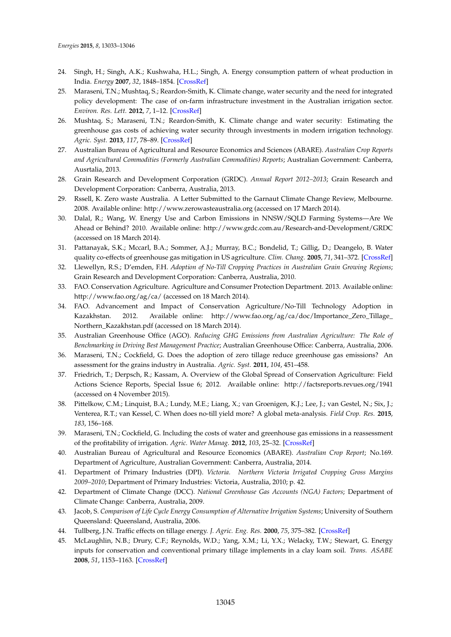- <span id="page-12-0"></span>24. Singh, H.; Singh, A.K.; Kushwaha, H.L.; Singh, A. Energy consumption pattern of wheat production in India. *Energy* **2007**, *32*, 1848–1854. [\[CrossRef\]](http://dx.doi.org/10.1016/j.energy.2007.03.001)
- <span id="page-12-1"></span>25. Maraseni, T.N.; Mushtaq, S.; Reardon-Smith, K. Climate change, water security and the need for integrated policy development: The case of on-farm infrastructure investment in the Australian irrigation sector. *Environ. Res. Lett.* **2012**, *7*, 1–12. [\[CrossRef\]](http://dx.doi.org/10.1088/1748-9326/7/3/034006)
- 26. Mushtaq, S.; Maraseni, T.N.; Reardon-Smith, K. Climate change and water security: Estimating the greenhouse gas costs of achieving water security through investments in modern irrigation technology. *Agric. Syst.* **2013**, *117*, 78–89. [\[CrossRef\]](http://dx.doi.org/10.1016/j.agsy.2012.12.009)
- <span id="page-12-16"></span><span id="page-12-2"></span>27. Australian Bureau of Agricultural and Resource Economics and Sciences (ABARE). *Australian Crop Reports and Agricultural Commodities (Formerly Australian Commodities) Reports*; Australian Government: Canberra, Ausrtalia, 2013.
- <span id="page-12-3"></span>28. Grain Research and Development Corporation (GRDC). *Annual Report 2012–2013*; Grain Research and Development Corporation: Canberra, Australia, 2013.
- <span id="page-12-4"></span>29. Rssell, K. Zero waste Australia. A Letter Submitted to the Garnaut Climate Change Review, Melbourne. 2008. Available online: http://www.zerowasteaustralia.org (accessed on 17 March 2014).
- <span id="page-12-5"></span>30. Dalal, R.; Wang, W. Energy Use and Carbon Emissions in NNSW/SQLD Farming Systems—Are We Ahead or Behind? 2010. Available online: http://www.grdc.com.au/Research-and-Development/GRDC (accessed on 18 March 2014).
- <span id="page-12-6"></span>31. Pattanayak, S.K.; Mccarl, B.A.; Sommer, A.J.; Murray, B.C.; Bondelid, T.; Gillig, D.; Deangelo, B. Water quality co-effects of greenhouse gas mitigation in US agriculture. *Clim. Chang.* **2005**, *71*, 341–372. [\[CrossRef\]](http://dx.doi.org/10.1007/s10584-005-5925-0)
- <span id="page-12-7"></span>32. Llewellyn, R.S.; D'emden, F.H. *Adoption of No-Till Cropping Practices in Australian Grain Growing Regions*; Grain Research and Development Corporation: Canberra, Australia, 2010.
- <span id="page-12-17"></span><span id="page-12-8"></span>33. FAO. Conservation Agriculture. Agriculture and Consumer Protection Department. 2013. Available online: http://www.fao.org/ag/ca/ (accessed on 18 March 2014).
- <span id="page-12-9"></span>34. FAO. Advancement and Impact of Conservation Agriculture/No-Till Technology Adoption in Kazakhstan. 2012. Available online: http://www.fao.org/ag/ca/doc/Importance\_Zero\_Tillage\_ Northern\_Kazakhstan.pdf (accessed on 18 March 2014).
- <span id="page-12-10"></span>35. Australian Greenhouse Office (AGO). *Reducing GHG Emissions from Australian Agriculture: The Role of Benchmarking in Driving Best Management Practice*; Australian Greenhouse Office: Canberra, Australia, 2006.
- <span id="page-12-11"></span>36. Maraseni, T.N.; Cockfield, G. Does the adoption of zero tillage reduce greenhouse gas emissions? An assessment for the grains industry in Australia. *Agric. Syst.* **2011**, *104*, 451–458.
- <span id="page-12-12"></span>37. Friedrich, T.; Derpsch, R.; Kassam, A. Overview of the Global Spread of Conservation Agriculture: Field Actions Science Reports, Special Issue 6; 2012. Available online: http://factsreports.revues.org/1941 (accessed on 4 November 2015).
- <span id="page-12-13"></span>38. Pittelkow, C.M.; Linquist, B.A.; Lundy, M.E.; Liang, X.; van Groenigen, K.J.; Lee, J.; van Gestel, N.; Six, J.; Venterea, R.T.; van Kessel, C. When does no-till yield more? A global meta-analysis. *Field Crop. Res.* **2015**, *183*, 156–168.
- <span id="page-12-14"></span>39. Maraseni, T.N.; Cockfield, G. Including the costs of water and greenhouse gas emissions in a reassessment of the profitability of irrigation. *Agric. Water Manag.* **2012**, *103*, 25–32. [\[CrossRef\]](http://dx.doi.org/10.1016/j.agwat.2011.10.014)
- <span id="page-12-15"></span>40. Australian Bureau of Agricultural and Resource Economics (ABARE). *Australian Crop Report*; No.169. Department of Agriculture, Australian Government: Canberra, Australia, 2014.
- 41. Department of Primary Industries (DPI). *Victoria. Northern Victoria Irrigated Cropping Gross Margins 2009–2010*; Department of Primary Industries: Victoria, Australia, 2010; p. 42.
- <span id="page-12-18"></span>42. Department of Climate Change (DCC). *National Greenhouse Gas Accounts (NGA) Factors*; Department of Climate Change: Canberra, Australia, 2009.
- <span id="page-12-19"></span>43. Jacob, S. *Comparison of Life Cycle Energy Consumption of Alternative Irrigation Systems*; University of Southern Queensland: Queensland, Australia, 2006.
- <span id="page-12-20"></span>44. Tullberg, J.N. Traffic effects on tillage energy. *J. Agric. Eng. Res.* **2000**, *75*, 375–382. [\[CrossRef\]](http://dx.doi.org/10.1006/jaer.1999.0516)
- <span id="page-12-21"></span>45. McLaughlin, N.B.; Drury, C.F.; Reynolds, W.D.; Yang, X.M.; Li, Y.X.; Welacky, T.W.; Stewart, G. Energy inputs for conservation and conventional primary tillage implements in a clay loam soil. *Trans. ASABE* **2008**, *51*, 1153–1163. [\[CrossRef\]](http://dx.doi.org/10.13031/2013.25231)